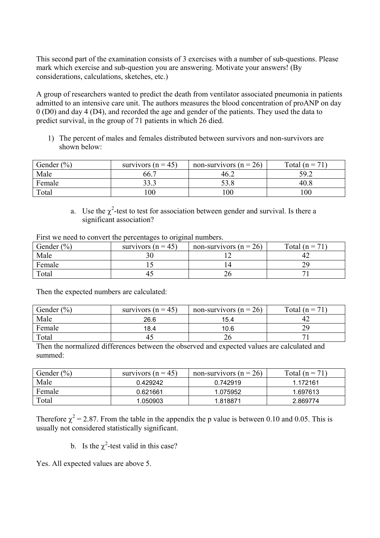This second part of the examination consists of 3 exercises with a number of sub-questions. Please mark which exercise and sub-question you are answering. Motivate your answers! (By considerations, calculations, sketches, etc.)

A group of researchers wanted to predict the death from ventilator associated pneumonia in patients admitted to an intensive care unit. The authors measures the blood concentration of proANP on day 0 (D0) and day 4 (D4), and recorded the age and gender of the patients. They used the data to predict survival, in the group of 71 patients in which 26 died.

1) The percent of males and females distributed between survivors and non-survivors are shown below:

| Gender $(\% )$ | survivors ( $n = 45$ ) | non-survivors ( $n = 26$ ) | Total $(n = 71)$ |
|----------------|------------------------|----------------------------|------------------|
| Male           | 66.7                   | 46.2                       | 59.2             |
| Female         | 33.3                   | 53.8                       | 40.8             |
| Total          | 00                     | $\overline{00}$            | 100              |

a. Use the  $\chi^2$ -test to test for association between gender and survival. Is there a significant association?

| First we need to convert the percentages to original numbers. |  |
|---------------------------------------------------------------|--|
|                                                               |  |

| Gender $(\% )$ | survivors ( $n = 45$ ) | non-survivors ( $n = 26$ ) | Total ( $n = 71$ ) |
|----------------|------------------------|----------------------------|--------------------|
| Male           |                        |                            |                    |
| Female         |                        |                            |                    |
| Total          | 42                     | 26                         |                    |

Then the expected numbers are calculated:

| Gender $(\% )$ | survivors ( $n = 45$ ) | non-survivors ( $n = 26$ ) | Total $(n = 71)$ |
|----------------|------------------------|----------------------------|------------------|
| Male           | 26.6                   | 15.4                       |                  |
| Female         | 18.4                   | 10.6                       | 29               |
| Total          | 40                     | 26                         |                  |

Then the normalized differences between the observed and expected values are calculated and summed:

| Gender $(\% )$ | survivors ( $n = 45$ ) | non-survivors ( $n = 26$ ) | Total $(n = 71)$ |
|----------------|------------------------|----------------------------|------------------|
| Male           | 0.429242               | 0.742919                   | 1.172161         |
| Female         | 0.621661               | 1.075952                   | 1.697613         |
| Total          | 1.050903               | 1.818871                   | 2.869774         |

Therefore  $\chi^2$  = 2.87. From the table in the appendix the p value is between 0.10 and 0.05. This is usually not considered statistically significant.

b. Is the  $\chi^2$ -test valid in this case?

Yes. All expected values are above 5.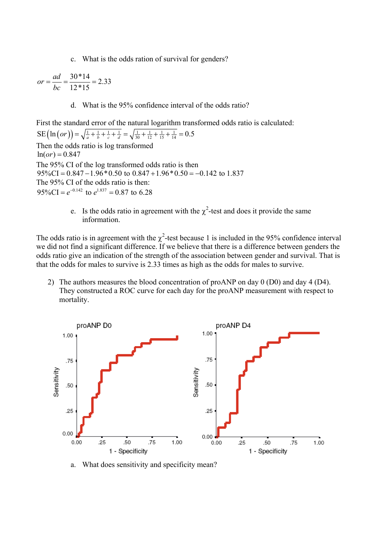c. What is the odds ration of survival for genders?

$$
or = \frac{ad}{bc} = \frac{30*14}{12*15} = 2.33
$$

d. What is the 95% confidence interval of the odds ratio?

First the standard error of the natural logarithm transformed odds ratio is calculated:

 $SE\left(\ln\left(or\right)\right) = \sqrt{\frac{1}{a} + \frac{1}{b} + \frac{1}{c} + \frac{1}{d}} = \sqrt{\frac{1}{30} + \frac{1}{12} + \frac{1}{15} + \frac{1}{14}} = 0.5$ Then the odds ratio is log transformed  $ln($ or $) = 0.847$ The 95% CI of the log transformed odds ratio is then  $95\%CI = 0.847 - 1.96 * 0.50$  to  $0.847 + 1.96 * 0.50 = -0.142$  to 1.837 The 95% CI of the odds ratio is then:  $95\% \text{CI} = e^{-0.142}$  to  $e^{1.837} = 0.87$  to 6.28

> e. Is the odds ratio in agreement with the  $\chi^2$ -test and does it provide the same information.

The odds ratio is in agreement with the  $\chi^2$ -test because 1 is included in the 95% confidence interval we did not find a significant difference. If we believe that there is a difference between genders the odds ratio give an indication of the strength of the association between gender and survival. That is that the odds for males to survive is 2.33 times as high as the odds for males to survive.

2) The authors measures the blood concentration of proANP on day 0 (D0) and day 4 (D4). They constructed a ROC curve for each day for the proANP measurement with respect to mortality.



a. What does sensitivity and specificity mean?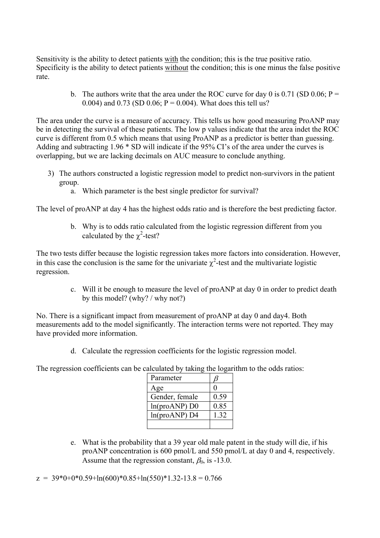Sensitivity is the ability to detect patients with the condition; this is the true positive ratio. Specificity is the ability to detect patients without the condition; this is one minus the false positive rate.

> b. The authors write that the area under the ROC curve for day 0 is 0.71 (SD 0.06;  $P =$ 0.004) and 0.73 (SD 0.06;  $P = 0.004$ ). What does this tell us?

The area under the curve is a measure of accuracy. This tells us how good measuring ProANP may be in detecting the survival of these patients. The low p values indicate that the area indet the ROC curve is different from 0.5 which means that using ProANP as a predictor is better than guessing. Adding and subtracting 1.96 \* SD will indicate if the 95% CI's of the area under the curves is overlapping, but we are lacking decimals on AUC measure to conclude anything.

- 3) The authors constructed a logistic regression model to predict non-survivors in the patient group.
	- a. Which parameter is the best single predictor for survival?

The level of proANP at day 4 has the highest odds ratio and is therefore the best predicting factor.

b. Why is to odds ratio calculated from the logistic regression different from you calculated by the  $\chi^2$ -test?

The two tests differ because the logistic regression takes more factors into consideration. However, in this case the conclusion is the same for the univariate  $\chi^2$ -test and the multivariate logistic regression.

> c. Will it be enough to measure the level of proANP at day 0 in order to predict death by this model? (why? / why not?)

No. There is a significant impact from measurement of proANP at day 0 and day4. Both measurements add to the model significantly. The interaction terms were not reported. They may have provided more information.

d. Calculate the regression coefficients for the logistic regression model.

The regression coefficients can be calculated by taking the logarithm to the odds ratios:

| Parameter       |      |
|-----------------|------|
| Age             |      |
| Gender, female  | 0.59 |
| $ln(proANP)$ D0 | 0.85 |
| ln(proANP) D4   | 1.32 |
|                 |      |

e. What is the probability that a 39 year old male patent in the study will die, if his proANP concentration is 600 pmol/L and 550 pmol/L at day 0 and 4, respectively. Assume that the regression constant,  $\beta_0$ , is -13.0.

 $z = 39*0+0*0.59+ln(600)*0.85+ln(550)*1.32-13.8 = 0.766$